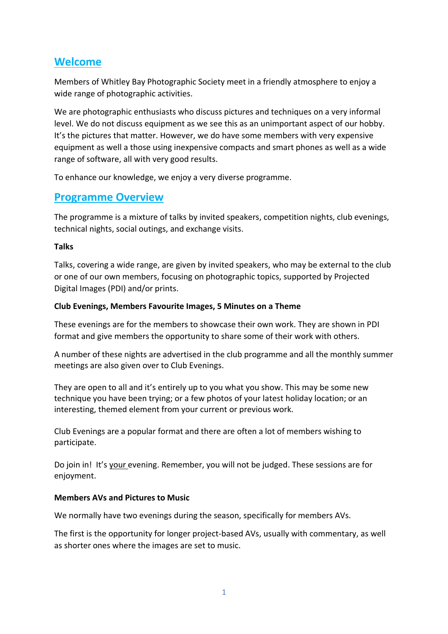## **Welcome**

Members of Whitley Bay Photographic Society meet in a friendly atmosphere to enjoy a wide range of photographic activities.

We are photographic enthusiasts who discuss pictures and techniques on a very informal level. We do not discuss equipment as we see this as an unimportant aspect of our hobby. It's the pictures that matter. However, we do have some members with very expensive equipment as well a those using inexpensive compacts and smart phones as well as a wide range of software, all with very good results.

To enhance our knowledge, we enjoy a very diverse programme.

### **Programme Overview**

The programme is a mixture of talks by invited speakers, competition nights, club evenings, technical nights, social outings, and exchange visits.

#### **Talks**

Talks, covering a wide range, are given by invited speakers, who may be external to the club or one of our own members, focusing on photographic topics, supported by Projected Digital Images (PDI) and/or prints.

#### **Club Evenings, Members Favourite Images, 5 Minutes on a Theme**

These evenings are for the members to showcase their own work. They are shown in PDI format and give members the opportunity to share some of their work with others.

A number of these nights are advertised in the club programme and all the monthly summer meetings are also given over to Club Evenings.

They are open to all and it's entirely up to you what you show. This may be some new technique you have been trying; or a few photos of your latest holiday location; or an interesting, themed element from your current or previous work.

Club Evenings are a popular format and there are often a lot of members wishing to participate.

Do join in! It's your evening. Remember, you will not be judged. These sessions are for enjoyment.

#### **Members AVs and Pictures to Music**

We normally have two evenings during the season, specifically for members AVs.

The first is the opportunity for longer project-based AVs, usually with commentary, as well as shorter ones where the images are set to music.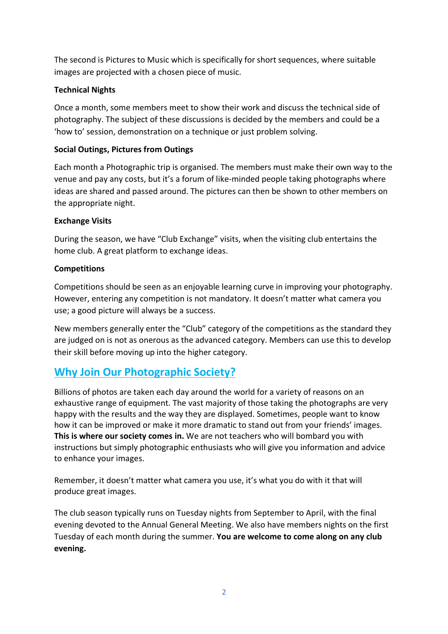The second is Pictures to Music which is specifically for short sequences, where suitable images are projected with a chosen piece of music.

#### **Technical Nights**

Once a month, some members meet to show their work and discuss the technical side of photography. The subject of these discussions is decided by the members and could be a 'how to' session, demonstration on a technique or just problem solving.

#### **Social Outings, Pictures from Outings**

Each month a Photographic trip is organised. The members must make their own way to the venue and pay any costs, but it's a forum of like-minded people taking photographs where ideas are shared and passed around. The pictures can then be shown to other members on the appropriate night.

#### **Exchange Visits**

During the season, we have "Club Exchange" visits, when the visiting club entertains the home club. A great platform to exchange ideas.

#### **Competitions**

Competitions should be seen as an enjoyable learning curve in improving your photography. However, entering any competition is not mandatory. It doesn't matter what camera you use; a good picture will always be a success.

New members generally enter the "Club" category of the competitions as the standard they are judged on is not as onerous as the advanced category. Members can use this to develop their skill before moving up into the higher category.

## **Why Join Our Photographic Society?**

Billions of photos are taken each day around the world for a variety of reasons on an exhaustive range of equipment. The vast majority of those taking the photographs are very happy with the results and the way they are displayed. Sometimes, people want to know how it can be improved or make it more dramatic to stand out from your friends' images. **This is where our society comes in.** We are not teachers who will bombard you with instructions but simply photographic enthusiasts who will give you information and advice to enhance your images.

Remember, it doesn't matter what camera you use, it's what you do with it that will produce great images.

The club season typically runs on Tuesday nights from September to April, with the final evening devoted to the Annual General Meeting. We also have members nights on the first Tuesday of each month during the summer. **You are welcome to come along on any club evening.**